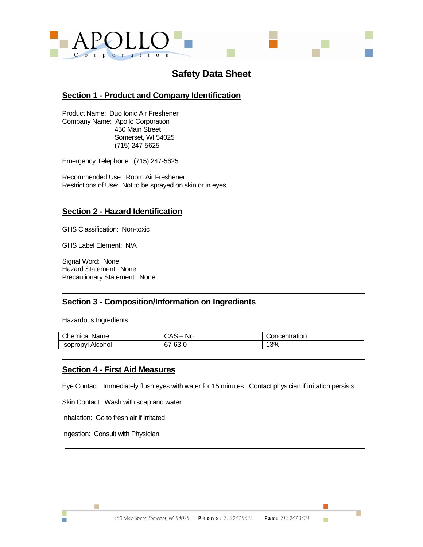

# **Safety Data Sheet**

## **Section 1 - Product and Company Identification**

Product Name: Duo Ionic Air Freshener Company Name: Apollo Corporation 450 Main Street Somerset, WI 54025 (715) 247-5625

Emergency Telephone: (715) 247-5625

Recommended Use: Room Air Freshener Restrictions of Use: Not to be sprayed on skin or in eyes.

# **Section 2 - Hazard Identification**

GHS Classification: Non-toxic

GHS Label Element: N/A

Signal Word: None Hazard Statement: None Precautionary Statement: None

## **Section 3 - Composition/Information on Ingredients**

Hazardous Ingredients:

| Chemical<br>Name            | ົ^^<br>No.<br>しハこ<br>- | Concentration |
|-----------------------------|------------------------|---------------|
| Alcohol<br><b>ISODrODVI</b> | $\sim$<br>67-63-0      | 13%           |

#### **Section 4 - First Aid Measures**

Eye Contact: Immediately flush eyes with water for 15 minutes. Contact physician if irritation persists.

Skin Contact: Wash with soap and water.

Inhalation: Go to fresh air if irritated.

Ingestion: Consult with Physician.

Ħ

m.

п

ш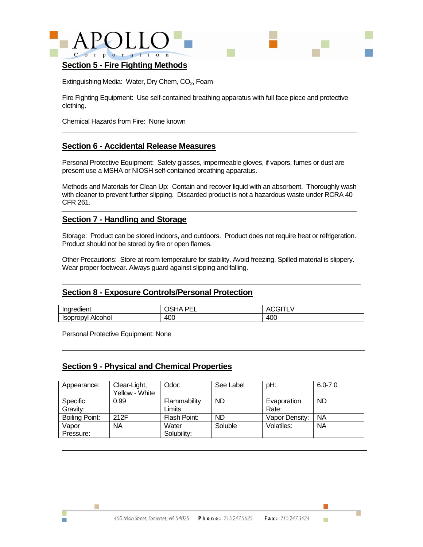



#### **Section 5 - Fire Fighting Methods**

Extinguishing Media: Water, Dry Chem, CO<sub>2</sub>, Foam

Fire Fighting Equipment: Use self-contained breathing apparatus with full face piece and protective clothing.

Chemical Hazards from Fire: None known

## **Section 6 - Accidental Release Measures**

Personal Protective Equipment: Safety glasses, impermeable gloves, if vapors, fumes or dust are present use a MSHA or NIOSH self-contained breathing apparatus.

Methods and Materials for Clean Up: Contain and recover liquid with an absorbent. Thoroughly wash with cleaner to prevent further slipping. Discarded product is not a hazardous waste under RCRA 40 CFR 261.

## **Section 7 - Handling and Storage**

Storage: Product can be stored indoors, and outdoors. Product does not require heat or refrigeration. Product should not be stored by fire or open flames.

Other Precautions: Store at room temperature for stability. Avoid freezing. Spilled material is slippery. Wear proper footwear. Always guard against slipping and falling.

## **Section 8 - Exposure Controls/Personal Protection**

| <br>aredient<br>Inare             | DЕ<br>ıΔ<br>-- | $\cdots$<br>- |
|-----------------------------------|----------------|---------------|
| Alcohol<br>oropvi<br><b>Isopr</b> | 40C            | 400           |

Personal Protective Equipment: None

Ħ

m.

#### **Section 9 - Physical and Chemical Properties**

| Appearance:           | Clear-Light,<br>Yellow - White | Odor:                   | See Label | pH:                  | $6.0 - 7.0$ |
|-----------------------|--------------------------------|-------------------------|-----------|----------------------|-------------|
| Specific<br>Gravity:  | 0.99                           | Flammability<br>Limits: | <b>ND</b> | Evaporation<br>Rate: | ND          |
| <b>Boiling Point:</b> | 212F                           | Flash Point:            | <b>ND</b> | Vapor Density:       | <b>NA</b>   |
| Vapor<br>Pressure:    | <b>NA</b>                      | Water<br>Solubility:    | Soluble   | Volatiles:           | <b>NA</b>   |

ш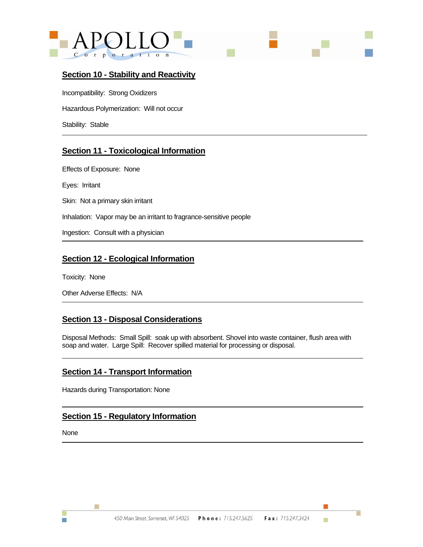



## **Section 10 - Stability and Reactivity**

Incompatibility: Strong Oxidizers Hazardous Polymerization: Will not occur Stability: Stable

# **Section 11 - Toxicological Information**

Effects of Exposure: None Eyes: Irritant Skin: Not a primary skin irritant Inhalation: Vapor may be an irritant to fragrance-sensitive people Ingestion: Consult with a physician

# **Section 12 - Ecological Information**

Toxicity: None

Other Adverse Effects: N/A

# **Section 13 - Disposal Considerations**

Disposal Methods: Small Spill: soak up with absorbent. Shovel into waste container, flush area with soap and water. Large Spill: Recover spilled material for processing or disposal.

## **Section 14 - Transport Information**

Hazards during Transportation: None

# **Section 15 - Regulatory Information**

None

m.

Ħ

г

ш